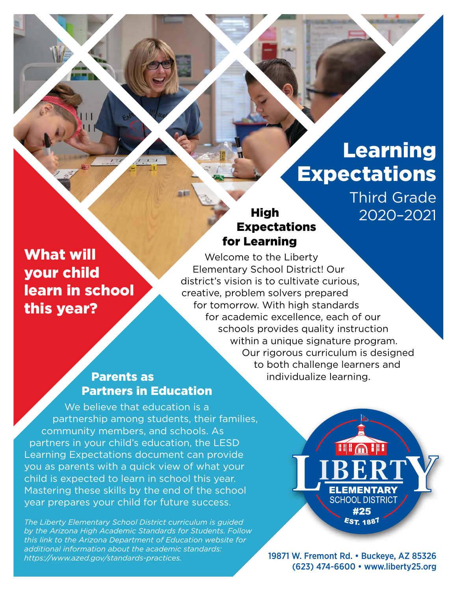# Learning **Expectations**

Third Grade 2020–2021

### **High** Expectations for Learning

What will your child learn in school this year?

Welcome to the Liberty Elementary School District! Our district's vision is to cultivate curious, creative, problem solvers prepared for tomorrow. With high standards for academic excellence, each of our schools provides quality instruction within a unique signature program. Our rigorous curriculum is designed to both challenge learners and individualize learning.

### Parents as Partners in Education

We believe that education is a partnership among students, their families, community members, and schools. As partners in your child's education, the LESD Learning Expectations document can provide you as parents with a quick view of what your child is expected to learn in school this year. Mastering these skills by the end of the school year prepares your child for future success.

*The Liberty Elementary School District curriculum is guided by the Arizona High Academic Standards for Students. Follow this link to the Arizona Department of Education website for additional information about the academic standards: [https://www.azed.gov/standards-practices.](https://www.azed.gov/standards-practices)*

**FILA III ELEMENTARY SCHOOL DISTRICT** #25 **EST. 1887** 

19871 W. Fremont Rd. • Buckeye, AZ 85326 (623) 474-6600 • [www.liberty25.org](http://www.liberty25.org)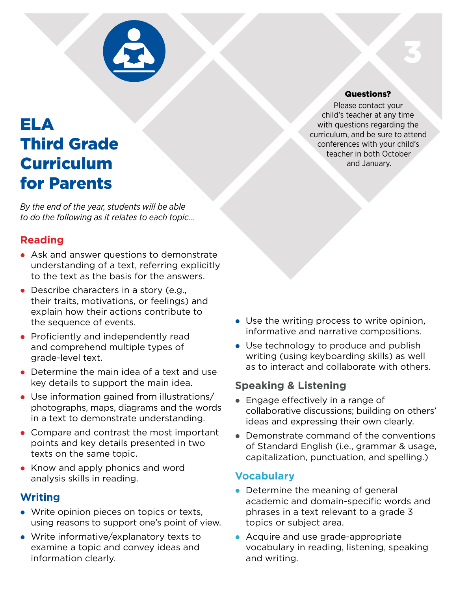

# ELA Third Grade Curriculum for Parents

*By the end of the year, students will be able to do the following as it relates to each topic…*

### **Reading**

- Ask and answer questions to demonstrate understanding of a text, referring explicitly to the text as the basis for the answers.
- $\bullet$  Describe characters in a story (e.g., their traits, motivations, or feelings) and explain how their actions contribute to the sequence of events.
- Proficiently and independently read and comprehend multiple types of grade‑level text.
- Determine the main idea of a text and use key details to support the main idea.
- $\bullet$  Use information gained from illustrations/ photographs, maps, diagrams and the words in a text to demonstrate understanding.
- Compare and contrast the most important points and key details presented in two texts on the same topic.
- Know and apply phonics and word analysis skills in reading.

### **Writing**

- Write opinion pieces on topics or texts, using reasons to support one's point of view.
- Write informative/explanatory texts to examine a topic and convey ideas and information clearly.

#### Questions?

3

Please contact your child's teacher at any time with questions regarding the curriculum, and be sure to attend conferences with your child's teacher in both October and January.

- $\bullet$  Use the writing process to write opinion, informative and narrative compositions.
- Use technology to produce and publish writing (using keyboarding skills) as well as to interact and collaborate with others.

### **Speaking & Listening**

- $\bullet$  Engage effectively in a range of collaborative discussions; building on others' ideas and expressing their own clearly.
- $\bullet$  Demonstrate command of the conventions of Standard English (i.e., grammar & usage, capitalization, punctuation, and spelling.)

### **Vocabulary**

- $\bullet$  Determine the meaning of general academic and domain-specific words and phrases in a text relevant to a grade 3 topics or subject area.
- Acquire and use grade-appropriate vocabulary in reading, listening, speaking and writing.